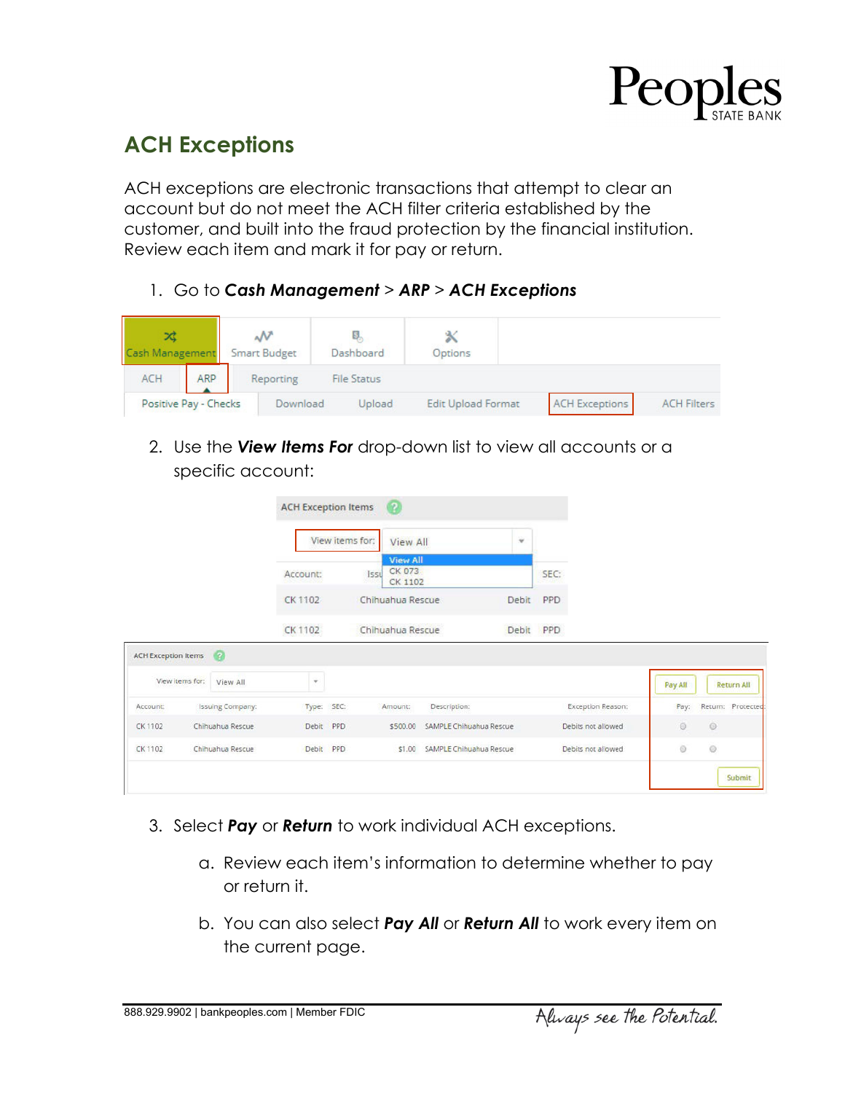

## **ACH Exceptions**

ACH exceptions are electronic transactions that attempt to clear an account but do not meet the ACH filter criteria established by the customer, and built into the fraud protection by the financial institution. Review each item and mark it for pay or return.

1. Go to *Cash Management > ARP > ACH Exceptions*



2. Use the *View Items For* drop-down list to view all accounts or a specific account:

|                            |                 |                         | <b>ACH Exception Items</b> |                 | $^{2}$                                       |                                  |       |                    |         |                   |
|----------------------------|-----------------|-------------------------|----------------------------|-----------------|----------------------------------------------|----------------------------------|-------|--------------------|---------|-------------------|
|                            |                 |                         |                            | View items for: | View All                                     |                                  | ¥     |                    |         |                   |
|                            |                 |                         | Account:                   |                 | <b>View All</b><br>CK 073<br>Issu<br>CK 1102 |                                  |       | SEC:               |         |                   |
|                            |                 |                         | CK 1102                    |                 | Chihuahua Rescue                             |                                  | Debit | PPD                |         |                   |
|                            |                 |                         | CK 1102                    |                 | Chihuahua Rescue                             |                                  | Debit | <b>PPD</b>         |         |                   |
| <b>ACH Exception Items</b> |                 | $\boldsymbol{\Omega}$   |                            |                 |                                              |                                  |       |                    |         |                   |
|                            | View items for: | View All                | $\mathbf{v}$               |                 |                                              |                                  |       |                    | Pay All | <b>Return All</b> |
| Account:                   |                 | <b>Issuing Company:</b> | Type: SEC:                 |                 | Amount:                                      | Description:                     |       | Exception Reason:  | Pay:    | Return: Protected |
| CK 1102                    |                 | Chihuahua Rescue        | Debit PPD                  |                 |                                              | \$500.00 SAMPLE Chihuahua Rescue |       | Debits not allowed | $\odot$ | $\odot$           |
| CK 1102                    |                 | Chihuahua Rescue        | Debit PPD                  |                 |                                              | \$1.00 SAMPLE Chihuahua Rescue   |       | Debits not allowed | $\odot$ | $\odot$           |
|                            |                 |                         |                            |                 |                                              |                                  |       |                    |         | Submit            |

- 3. Select *Pay* or *Return* to work individual ACH exceptions.
	- a. Review each item's information to determine whether to pay or return it.
	- b. You can also select *Pay All* or *Return All* to work every item on the current page.